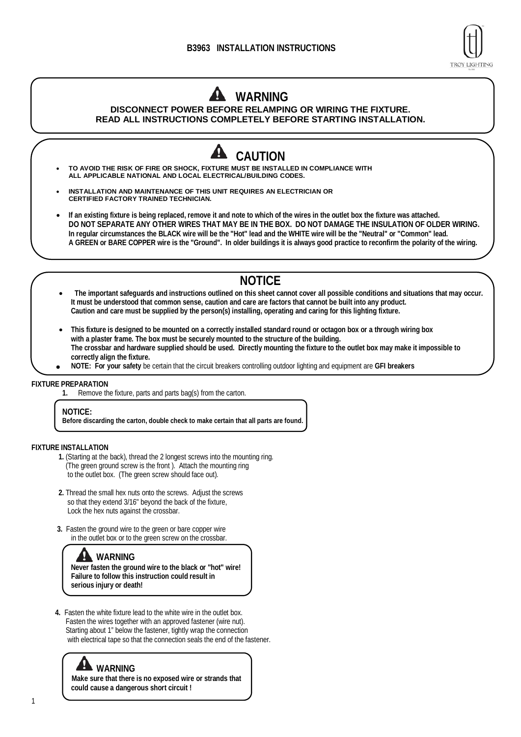

# **WARNING DISCONNECT POWER BEFORE RELAMPING OR WIRING THE FIXTURE. READ ALL INSTRUCTIONS COMPLETELY BEFORE STARTING INSTALLATION.**

**CAUTION** • **TO AVOID THE RISK OF FIRE OR SHOCK, FIXTURE MUST BE INSTALLED IN COMPLIANCE WITH ALL APPLICABLE NATIONAL AND LOCAL ELECTRICAL/BUILDING CODES.** • **INSTALLATION AND MAINTENANCE OF THIS UNIT REQUIRES AN ELECTRICIAN OR CERTIFIED FACTORY TRAINED TECHNICIAN.** • **If an existing fixture is being replaced, remove it and note to which of the wires in the outlet box the fixture was attached. DO NOT SEPARATE ANY OTHER WIRES THAT MAY BE IN THE BOX. DO NOT DAMAGE THE INSULATION OF OLDER WIRING. In regular circumstances the BLACK wire will be the "Hot" lead and the WHITE wire will be the "Neutral" or "Common" lead. A GREEN or BARE COPPER wire is the "Ground". In older buildings it is always good practice to reconfirm the polarity of the wiring.**

# **NOTICE**

- **The important safeguards and instructions outlined on this sheet cannot cover all possible conditions and situations that may occur. It must be understood that common sense, caution and care are factors that cannot be built into any product. Caution and care must be supplied by the person(s) installing, operating and caring for this lighting fixture.**
- **This fixture is designed to be mounted on a correctly installed standard round or octagon box or a through wiring box with a plaster frame. The box must be securely mounted to the structure of the building. The crossbar and hardware supplied should be used. Directly mounting the fixture to the outlet box may make it impossible to correctly align the fixture.**
- **NOTE: For your safety** be certain that the circuit breakers controlling outdoor lighting and equipment are GFI breakers

#### **FIXTURE PREPARATION**

**1.** Remove the fixture, parts and parts bag(s) from the carton.

#### **NOTICE:**

**Before discarding the carton, double check to make certain that all parts are found.**

### **FIXTURE INSTALLATION**

- **1.** (Starting at the back), thread the 2 longest screws into the mounting ring. (The green ground screw is the front ). Attach the mounting ring to the outlet box. (The green screw should face out).
- **2.** Thread the small hex nuts onto the screws. Adjust the screws so that they extend 3/16" beyond the back of the fixture, Lock the hex nuts against the crossbar.
- **3.** Fasten the ground wire to the green or bare copper wire in the outlet box or to the green screw on the crossbar.

## **WARNING**

**Never fasten the ground wire to the black or "hot" wire! Failure to follow this instruction could result in serious injury or death!**

**4.** Fasten the white fixture lead to the white wire in the outlet box. Fasten the wires together with an approved fastener (wire nut). Starting about 1" below the fastener, tightly wrap the connection with electrical tape so that the connection seals the end of the fastener.

WARNING<br>Make sure that there is no exposed wire or strands that  **could cause a dangerous short circuit !**